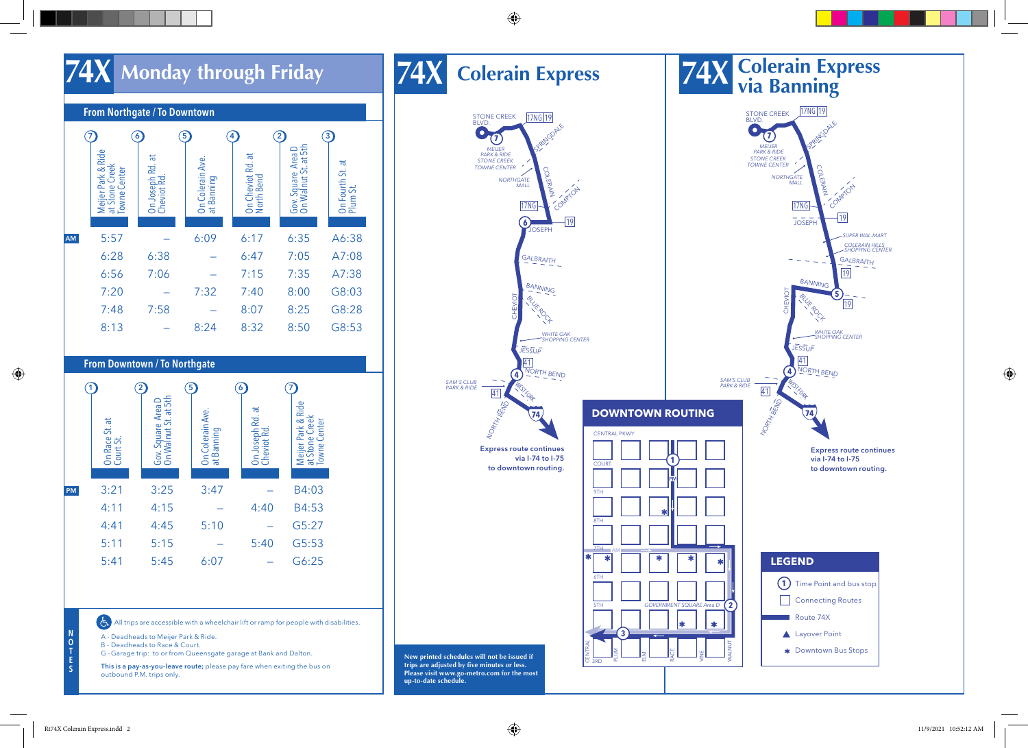

#### From Northgate / To Downtown  $\odot$ 3 6  $\circ$  $\left( 4\right)$  $\circled{2}$ Gov. Square Area D<br>On Walnut St. at 5th Meijer Park & Ride<br>at Stone Creek<br>Towne Center On Walnut St. at 5th Gov. Square Area D Meijer Park & Ride On Colerain Ave.<br>at Banning ੱਕ  $\overline{a}$ On Cheviot Rd. at On Joseph Rd. at On Colerain Ave. North Bend Cheviot Rd.  $\overline{\overline{a}}$ On Fourth St. at at Stone Creek On Fourth St. a<br>Plum St. Towne Center AM 5:57 — 6:09 6:17 6:35 A6:38 6:28 6:38 — 6:47 7:05 A7:08 6:56 7:06 — 7:15 7:35 A7:38 7:20 — 7:32 7:40 8:00 G8:03 7:48 7:58 — 8:07 8:25 G8:28 8:13 — 8:24 8:32 8:50 G8:53

#### From Downtown / To Northgate

|    | On Race St. at<br>Court St. | 2<br>Gov. Square Area D<br>On Walnut St. at 5th | 5<br>On Colerain Ave.<br>at Banning | 6<br>On Joseph Rd. at<br>Cheviot Rd. | Meijer Park & Ride<br>  at Stone Creek<br>  Towne Center |
|----|-----------------------------|-------------------------------------------------|-------------------------------------|--------------------------------------|----------------------------------------------------------|
| PM | 3:21                        | 3:25                                            | 3:47                                |                                      | B4:03                                                    |
|    | 4:11                        | 4:15                                            |                                     | 4:40                                 | B4:53                                                    |
|    | 4:41                        | 4:45                                            | 5:10                                |                                      | G5:27                                                    |
|    | 5:11                        | 5:15                                            |                                     | 5:40                                 | G5:53                                                    |
|    | 5:41                        | 5:45                                            | 6:07                                |                                      | G6:25                                                    |

All trips are accessible with a wheelchair lift or ramp for people with disabilities.

A - Deadheads to Meijer Park & Ride.

B - Deadheads to Race & Court.

G -Garage trip: to or from Queensgate garage at Bank and Dalton.

This is a pay-as-you-leave route; please pay fare when exiting the bus on outbound P.M. trips only.

**74X**



 $(E)$